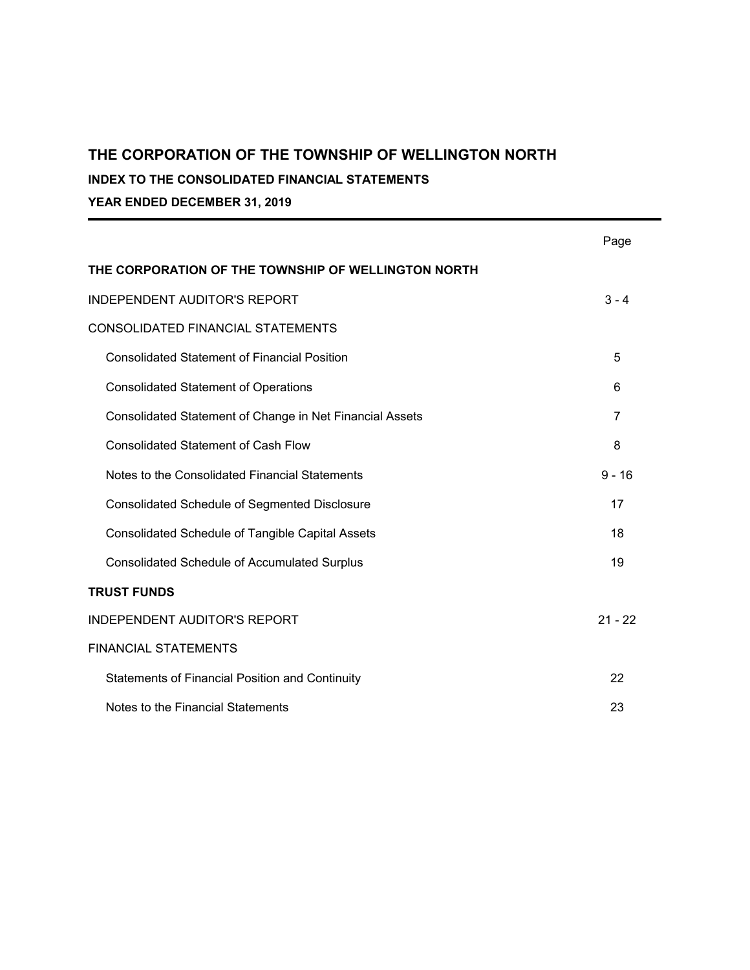**INDEX TO THE CONSOLIDATED FINANCIAL STATEMENTS**

**YEAR ENDED DECEMBER 31, 2019**

|                                                          | Page      |
|----------------------------------------------------------|-----------|
| THE CORPORATION OF THE TOWNSHIP OF WELLINGTON NORTH      |           |
| <b>INDEPENDENT AUDITOR'S REPORT</b>                      | $3 - 4$   |
| CONSOLIDATED FINANCIAL STATEMENTS                        |           |
| <b>Consolidated Statement of Financial Position</b>      | 5         |
| <b>Consolidated Statement of Operations</b>              | 6         |
| Consolidated Statement of Change in Net Financial Assets | 7         |
| <b>Consolidated Statement of Cash Flow</b>               | 8         |
| Notes to the Consolidated Financial Statements           | $9 - 16$  |
| <b>Consolidated Schedule of Segmented Disclosure</b>     | 17        |
| <b>Consolidated Schedule of Tangible Capital Assets</b>  | 18        |
| <b>Consolidated Schedule of Accumulated Surplus</b>      | 19        |
| <b>TRUST FUNDS</b>                                       |           |
| <b>INDEPENDENT AUDITOR'S REPORT</b>                      | $21 - 22$ |
| <b>FINANCIAL STATEMENTS</b>                              |           |
| <b>Statements of Financial Position and Continuity</b>   | 22        |
| Notes to the Financial Statements                        | 23        |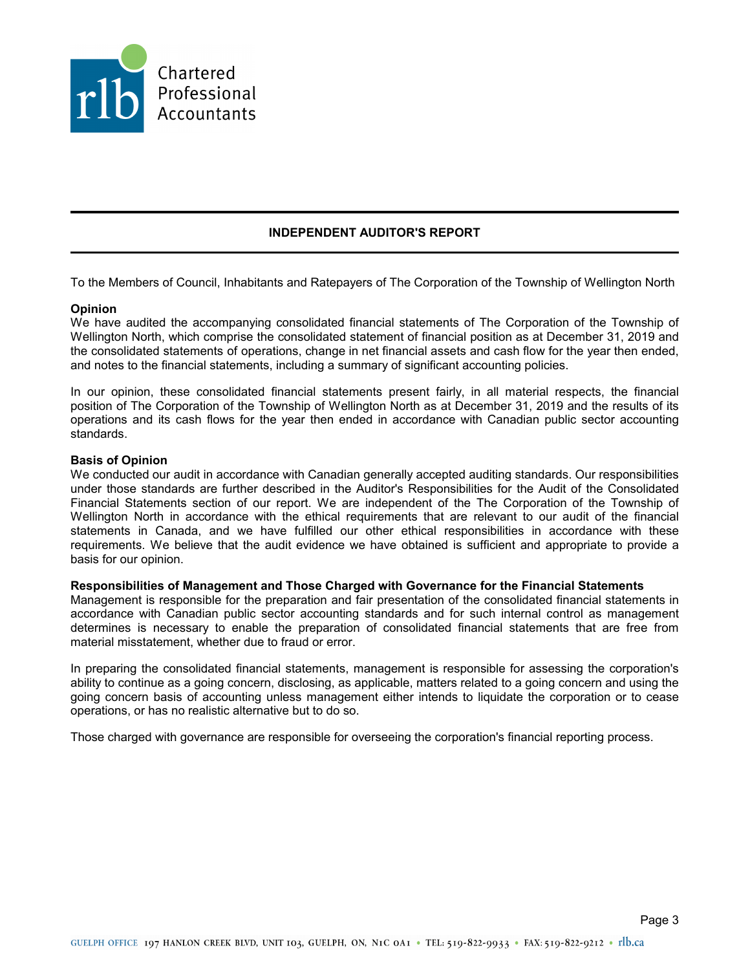

### **INDEPENDENT AUDITOR'S REPORT**

To the Members of Council, Inhabitants and Ratepayers of The Corporation of the Township of Wellington North

#### **Opinion**

We have audited the accompanying consolidated financial statements of The Corporation of the Township of Wellington North, which comprise the consolidated statement of financial position as at December 31, 2019 and the consolidated statements of operations, change in net financial assets and cash flow for the year then ended, and notes to the financial statements, including a summary of significant accounting policies.

In our opinion, these consolidated financial statements present fairly, in all material respects, the financial position of The Corporation of the Township of Wellington North as at December 31, 2019 and the results of its operations and its cash flows for the year then ended in accordance with Canadian public sector accounting standards.

#### **Basis of Opinion**

We conducted our audit in accordance with Canadian generally accepted auditing standards. Our responsibilities under those standards are further described in the Auditor's Responsibilities for the Audit of the Consolidated Financial Statements section of our report. We are independent of the The Corporation of the Township of Wellington North in accordance with the ethical requirements that are relevant to our audit of the financial statements in Canada, and we have fulfilled our other ethical responsibilities in accordance with these requirements. We believe that the audit evidence we have obtained is sufficient and appropriate to provide a basis for our opinion.

#### **Responsibilities of Management and Those Charged with Governance for the Financial Statements**

Management is responsible for the preparation and fair presentation of the consolidated financial statements in accordance with Canadian public sector accounting standards and for such internal control as management determines is necessary to enable the preparation of consolidated financial statements that are free from material misstatement, whether due to fraud or error.

In preparing the consolidated financial statements, management is responsible for assessing the corporation's ability to continue as a going concern, disclosing, as applicable, matters related to a going concern and using the going concern basis of accounting unless management either intends to liquidate the corporation or to cease operations, or has no realistic alternative but to do so.

Those charged with governance are responsible for overseeing the corporation's financial reporting process.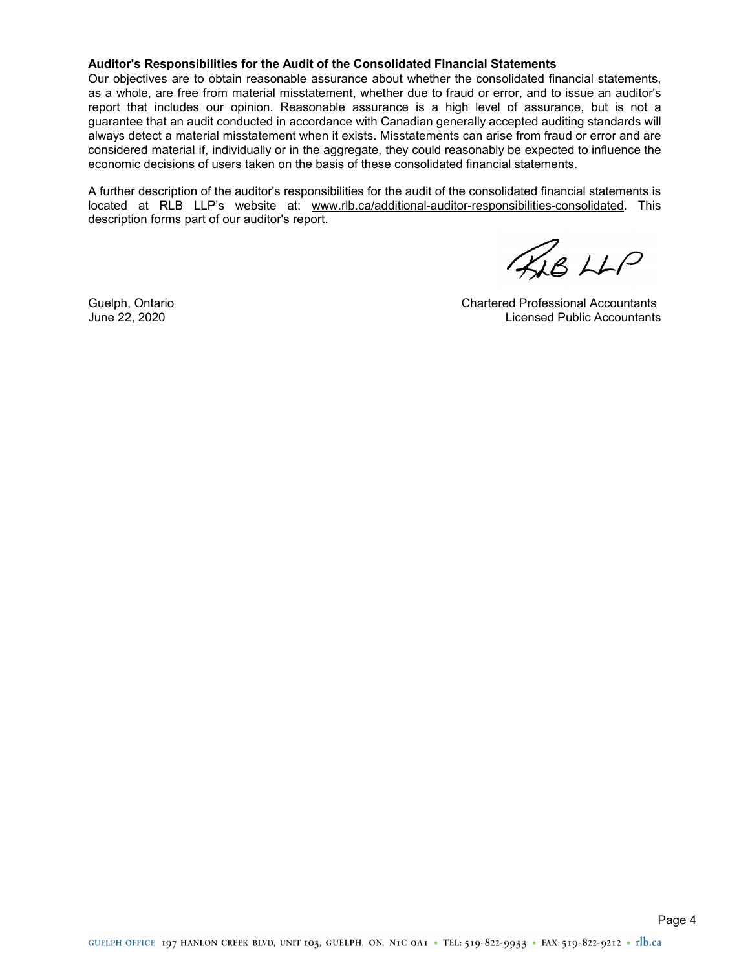#### **Auditor's Responsibilities for the Audit of the Consolidated Financial Statements**

Our objectives are to obtain reasonable assurance about whether the consolidated financial statements, as a whole, are free from material misstatement, whether due to fraud or error, and to issue an auditor's report that includes our opinion. Reasonable assurance is a high level of assurance, but is not a guarantee that an audit conducted in accordance with Canadian generally accepted auditing standards will always detect a material misstatement when it exists. Misstatements can arise from fraud or error and are considered material if, individually or in the aggregate, they could reasonably be expected to influence the economic decisions of users taken on the basis of these consolidated financial statements.

A further description of the auditor's responsibilities for the audit of the consolidated financial statements is located at RLB LLP's website at: www.rlb.ca/additional-auditor-responsibilities-consolidated. This description forms part of our auditor's report.

LB LLP

Guelph, Ontario Chartered Professional Accountants June 22, 2020 Licensed Public Accountants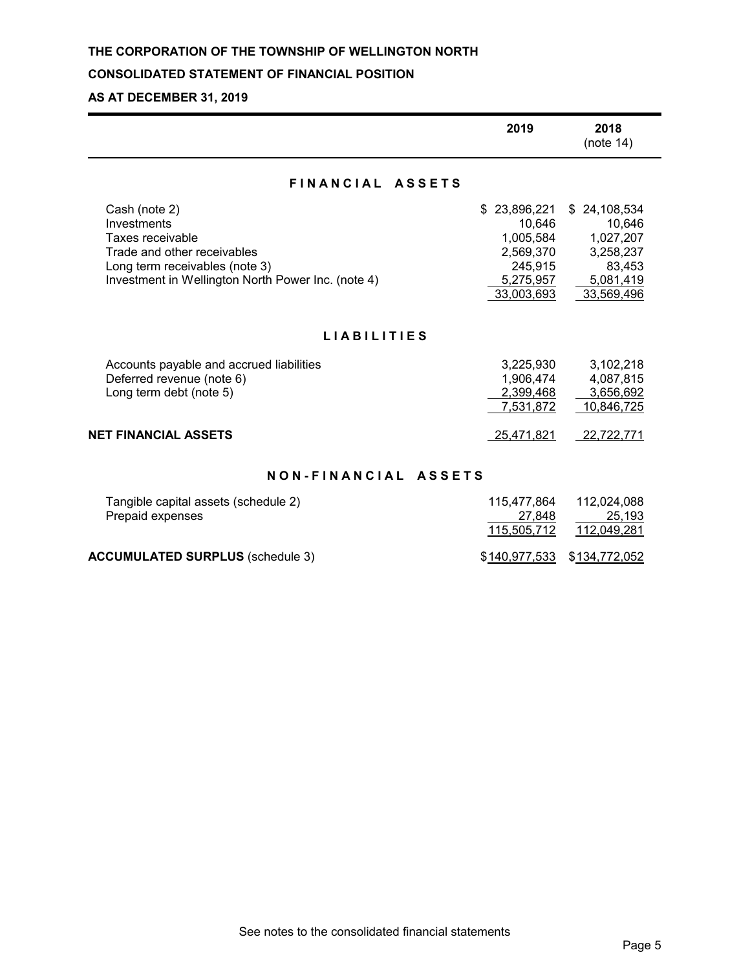## **CONSOLIDATED STATEMENT OF FINANCIAL POSITION**

## **AS AT DECEMBER 31, 2019**

|                                                                                                                                                                         | 2019                                                                                       | 2018<br>(note 14)                                                                          |  |  |  |
|-------------------------------------------------------------------------------------------------------------------------------------------------------------------------|--------------------------------------------------------------------------------------------|--------------------------------------------------------------------------------------------|--|--|--|
| FINANCIAL ASSETS                                                                                                                                                        |                                                                                            |                                                                                            |  |  |  |
| Cash (note 2)<br>Investments<br>Taxes receivable<br>Trade and other receivables<br>Long term receivables (note 3)<br>Investment in Wellington North Power Inc. (note 4) | 23,896,221<br>\$<br>10,646<br>1,005,584<br>2,569,370<br>245,915<br>5,275,957<br>33,003,693 | 24,108,534<br>\$.<br>10,646<br>1,027,207<br>3,258,237<br>83,453<br>5,081,419<br>33,569,496 |  |  |  |
| <b>LIABILITIES</b>                                                                                                                                                      |                                                                                            |                                                                                            |  |  |  |
| Accounts payable and accrued liabilities<br>Deferred revenue (note 6)<br>Long term debt (note 5)                                                                        | 3,225,930<br>1,906,474<br>2,399,468<br>7,531,872                                           | 3,102,218<br>4,087,815<br>3,656,692<br>10,846,725                                          |  |  |  |
| <b>NET FINANCIAL ASSETS</b>                                                                                                                                             | 25,471,821                                                                                 | 22,722,771                                                                                 |  |  |  |
| NON-FINANCIAL ASSETS                                                                                                                                                    |                                                                                            |                                                                                            |  |  |  |
| Tangible capital assets (schedule 2)<br>Prepaid expenses                                                                                                                | 115,477,864<br>27,848<br>115,505,712                                                       | 112,024,088<br>25.193<br>112,049,281                                                       |  |  |  |

**ACCUMULATED SURPLUS** (schedule 3)  $$140,977,533$  \$134,772,052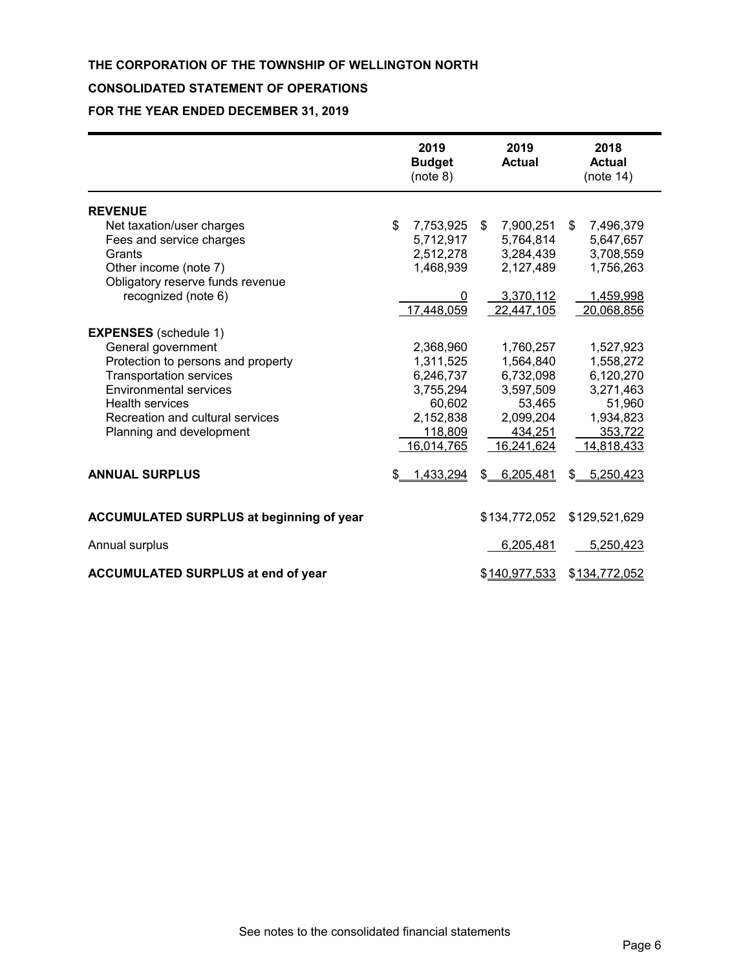## **CONSOLIDATED STATEMENT OF OPERATIONS**

**FOR THE YEAR ENDED DECEMBER 31, 2019**

|                                                 | 2019<br><b>Budget</b><br>(note 8) |    | 2019<br><b>Actual</b> | 2018<br><b>Actual</b><br>(note 14) |
|-------------------------------------------------|-----------------------------------|----|-----------------------|------------------------------------|
| <b>REVENUE</b>                                  |                                   |    |                       |                                    |
| Net taxation/user charges                       | \$<br>7,753,925                   | S. | 7,900,251             | \$<br>7,496,379                    |
| Fees and service charges                        | 5,712,917                         |    | 5,764,814             | 5,647,657                          |
| Grants                                          | 2,512,278                         |    | 3,284,439             | 3,708,559                          |
| Other income (note 7)                           | 1,468,939                         |    | 2,127,489             | 1,756,263                          |
| Obligatory reserve funds revenue                |                                   |    |                       |                                    |
| recognized (note 6)                             | 0                                 |    | 3,370,112             | 1,459,998                          |
|                                                 | 17,448,059                        |    | 22,447,105            | 20,068,856                         |
| <b>EXPENSES</b> (schedule 1)                    |                                   |    |                       |                                    |
| General government                              | 2,368,960                         |    | 1,760,257             | 1,527,923                          |
| Protection to persons and property              | 1,311,525                         |    | 1,564,840             | 1,558,272                          |
| <b>Transportation services</b>                  | 6,246,737                         |    | 6,732,098             | 6,120,270                          |
| <b>Environmental services</b>                   | 3,755,294                         |    | 3,597,509             | 3,271,463                          |
| <b>Health services</b>                          | 60,602                            |    | 53,465                | 51,960                             |
| Recreation and cultural services                | 2,152,838                         |    | 2,099,204             | 1,934,823                          |
| Planning and development                        | 118,809                           |    | 434,251               | 353,722                            |
|                                                 | 16,014,765                        |    | 16,241,624            | 14,818,433                         |
| <b>ANNUAL SURPLUS</b>                           | \$<br>1,433,294                   | \$ | 6,205,481             | \$<br>5,250,423                    |
| <b>ACCUMULATED SURPLUS at beginning of year</b> |                                   |    | \$134,772,052         | \$129,521,629                      |
| Annual surplus                                  |                                   |    | 6,205,481             | 5,250,423                          |
| <b>ACCUMULATED SURPLUS at end of year</b>       |                                   |    | \$140,977,533         | \$134,772,052                      |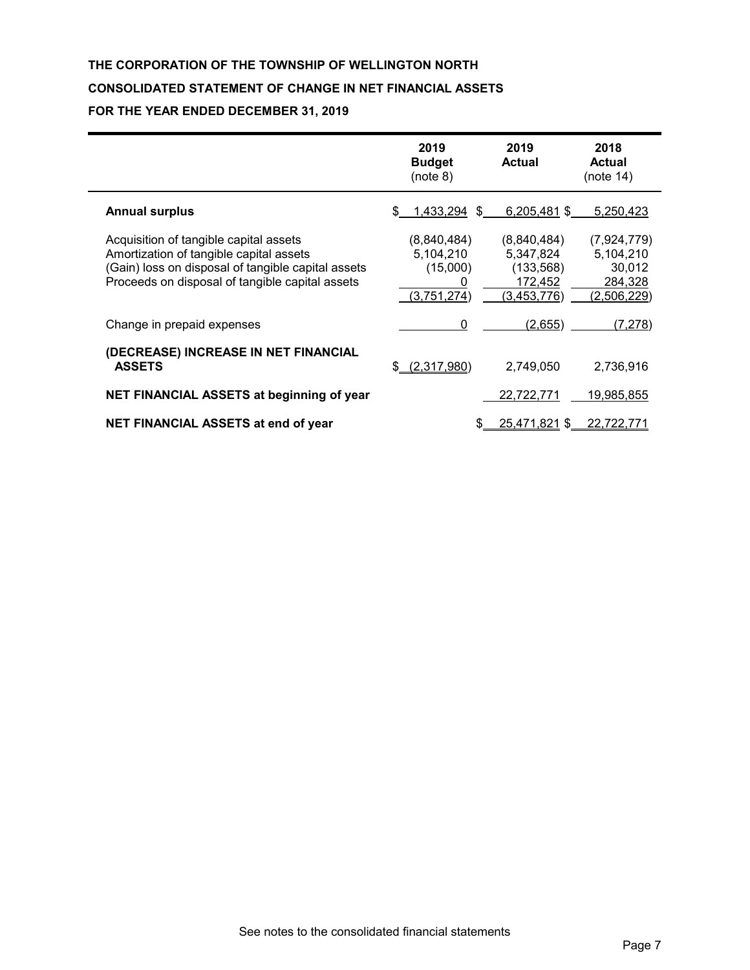## **THE CORPORATION OF THE TOWNSHIP OF WELLINGTON NORTH CONSOLIDATED STATEMENT OF CHANGE IN NET FINANCIAL ASSETS FOR THE YEAR ENDED DECEMBER 31, 2019**

|                                                                                                                                                                                            | 2019<br><b>Budget</b><br>(note 8)                   | 2019<br><b>Actual</b>                                            | 2018<br><b>Actual</b><br>(note 14)                           |
|--------------------------------------------------------------------------------------------------------------------------------------------------------------------------------------------|-----------------------------------------------------|------------------------------------------------------------------|--------------------------------------------------------------|
| <b>Annual surplus</b>                                                                                                                                                                      | 1,433,294<br>\$.<br>£.                              | 6,205,481 \$                                                     | 5,250,423                                                    |
| Acquisition of tangible capital assets<br>Amortization of tangible capital assets<br>(Gain) loss on disposal of tangible capital assets<br>Proceeds on disposal of tangible capital assets | (8,840,484)<br>5,104,210<br>(15,000)<br>(3,751,274) | (8,840,484)<br>5,347,824<br>(133, 568)<br>172,452<br>(3,453,776) | (7,924,779)<br>5,104,210<br>30,012<br>284,328<br>(2,506,229) |
| Change in prepaid expenses                                                                                                                                                                 | 0                                                   | (2,655)                                                          | (7, 278)                                                     |
| (DECREASE) INCREASE IN NET FINANCIAL<br><b>ASSETS</b>                                                                                                                                      | (2,317,980)<br>\$.                                  | 2,749,050                                                        | 2,736,916                                                    |
| NET FINANCIAL ASSETS at beginning of year                                                                                                                                                  |                                                     | 22,722,771                                                       | 19,985,855                                                   |
| <b>NET FINANCIAL ASSETS at end of year</b>                                                                                                                                                 |                                                     | 25,471,821 \$                                                    | 22.722.771                                                   |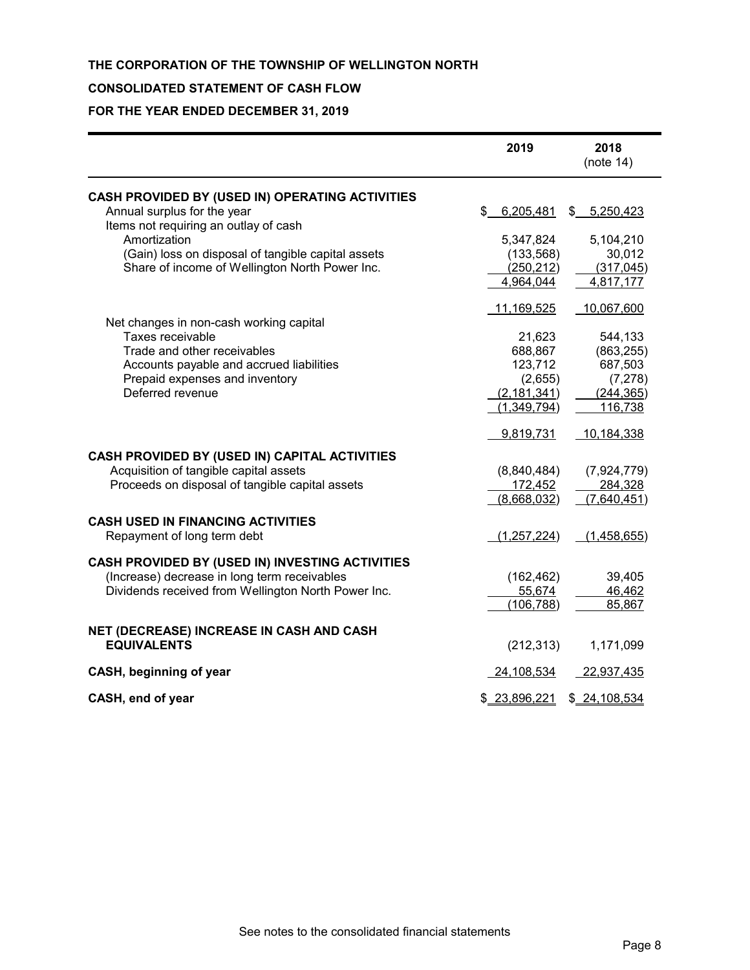## **CONSOLIDATED STATEMENT OF CASH FLOW**

## **FOR THE YEAR ENDED DECEMBER 31, 2019**

|                                                                                                                                                                                                                                                 | 2019                                                                                  | 2018<br>(note 14)                                                                   |
|-------------------------------------------------------------------------------------------------------------------------------------------------------------------------------------------------------------------------------------------------|---------------------------------------------------------------------------------------|-------------------------------------------------------------------------------------|
| CASH PROVIDED BY (USED IN) OPERATING ACTIVITIES<br>Annual surplus for the year<br>Items not requiring an outlay of cash<br>Amortization<br>(Gain) loss on disposal of tangible capital assets<br>Share of income of Wellington North Power Inc. | 6,205,481<br>5,347,824<br>(133, 568)<br>(250, 212)<br>4,964,044                       | \$5,250,423<br>5,104,210<br>30,012<br>(317, 045)<br>4,817,177                       |
| Net changes in non-cash working capital<br>Taxes receivable<br>Trade and other receivables<br>Accounts payable and accrued liabilities<br>Prepaid expenses and inventory<br>Deferred revenue                                                    | 11,169,525<br>21,623<br>688,867<br>123,712<br>(2,655)<br>(2, 181, 341)<br>(1,349,794) | 10,067,600<br>544,133<br>(863, 255)<br>687,503<br>(7, 278)<br>(244, 365)<br>116,738 |
| CASH PROVIDED BY (USED IN) CAPITAL ACTIVITIES<br>Acquisition of tangible capital assets<br>Proceeds on disposal of tangible capital assets                                                                                                      | 9,819,731<br>(8,840,484)<br>172,452<br>(8,668,032)                                    | 10,184,338<br>(7,924,779)<br>284,328<br>(7,640,451)                                 |
| <b>CASH USED IN FINANCING ACTIVITIES</b><br>Repayment of long term debt                                                                                                                                                                         | (1,257,224)                                                                           | (1,458,655)                                                                         |
| CASH PROVIDED BY (USED IN) INVESTING ACTIVITIES<br>(Increase) decrease in long term receivables<br>Dividends received from Wellington North Power Inc.                                                                                          | (162, 462)<br>55,674<br>(106, 788)                                                    | 39,405<br>46,462<br>85,867                                                          |
| NET (DECREASE) INCREASE IN CASH AND CASH<br><b>EQUIVALENTS</b>                                                                                                                                                                                  | (212, 313)                                                                            | 1,171,099                                                                           |
| CASH, beginning of year                                                                                                                                                                                                                         | 24,108,534                                                                            | 22,937,435                                                                          |
| CASH, end of year                                                                                                                                                                                                                               | \$23,896,221                                                                          | \$24,108,534                                                                        |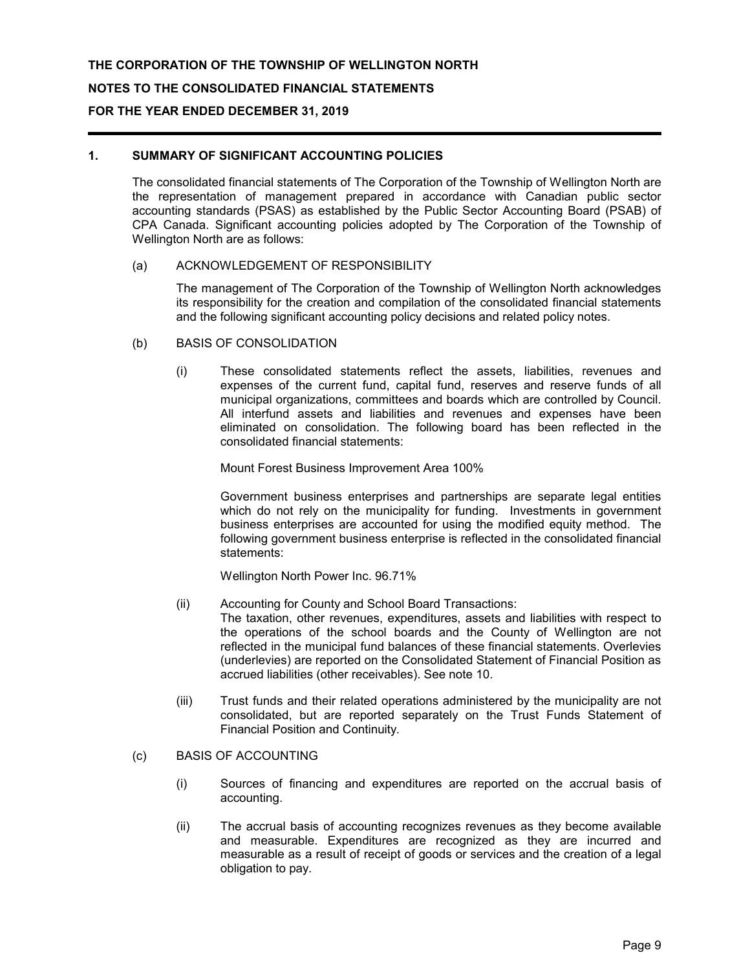## **1. SUMMARY OF SIGNIFICANT ACCOUNTING POLICIES**

The consolidated financial statements of The Corporation of the Township of Wellington North are the representation of management prepared in accordance with Canadian public sector accounting standards (PSAS) as established by the Public Sector Accounting Board (PSAB) of CPA Canada. Significant accounting policies adopted by The Corporation of the Township of Wellington North are as follows:

#### (a) ACKNOWLEDGEMENT OF RESPONSIBILITY

The management of The Corporation of the Township of Wellington North acknowledges its responsibility for the creation and compilation of the consolidated financial statements and the following significant accounting policy decisions and related policy notes.

- (b) BASIS OF CONSOLIDATION
	- (i) These consolidated statements reflect the assets, liabilities, revenues and expenses of the current fund, capital fund, reserves and reserve funds of all municipal organizations, committees and boards which are controlled by Council. All interfund assets and liabilities and revenues and expenses have been eliminated on consolidation. The following board has been reflected in the consolidated financial statements:

Mount Forest Business Improvement Area 100%

Government business enterprises and partnerships are separate legal entities which do not rely on the municipality for funding. Investments in government business enterprises are accounted for using the modified equity method. The following government business enterprise is reflected in the consolidated financial statements:

Wellington North Power Inc. 96.71%

(ii) Accounting for County and School Board Transactions:

The taxation, other revenues, expenditures, assets and liabilities with respect to the operations of the school boards and the County of Wellington are not reflected in the municipal fund balances of these financial statements. Overlevies (underlevies) are reported on the Consolidated Statement of Financial Position as accrued liabilities (other receivables). See note 10.

- (iii) Trust funds and their related operations administered by the municipality are not consolidated, but are reported separately on the Trust Funds Statement of Financial Position and Continuity.
- (c) BASIS OF ACCOUNTING
	- (i) Sources of financing and expenditures are reported on the accrual basis of accounting.
	- (ii) The accrual basis of accounting recognizes revenues as they become available and measurable. Expenditures are recognized as they are incurred and measurable as a result of receipt of goods or services and the creation of a legal obligation to pay.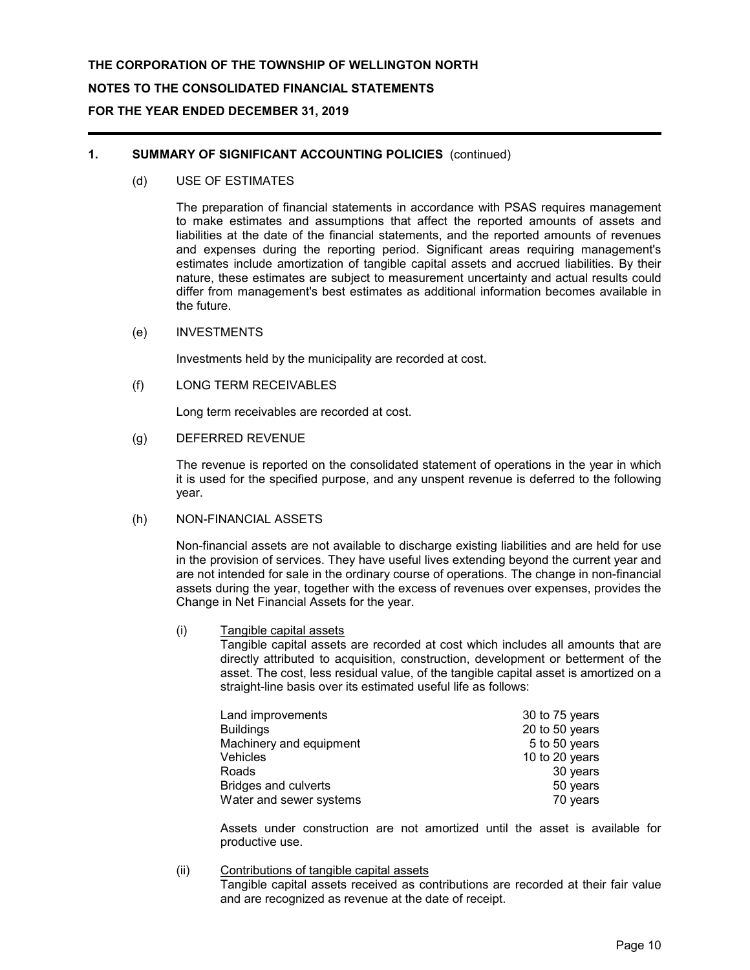## **1. SUMMARY OF SIGNIFICANT ACCOUNTING POLICIES** (continued)

(d) USE OF ESTIMATES

The preparation of financial statements in accordance with PSAS requires management to make estimates and assumptions that affect the reported amounts of assets and liabilities at the date of the financial statements, and the reported amounts of revenues and expenses during the reporting period. Significant areas requiring management's estimates include amortization of tangible capital assets and accrued liabilities. By their nature, these estimates are subject to measurement uncertainty and actual results could differ from management's best estimates as additional information becomes available in the future.

#### (e) INVESTMENTS

Investments held by the municipality are recorded at cost.

(f) LONG TERM RECEIVABLES

Long term receivables are recorded at cost.

(g) DEFERRED REVENUE

The revenue is reported on the consolidated statement of operations in the year in which it is used for the specified purpose, and any unspent revenue is deferred to the following year.

## (h) NON-FINANCIAL ASSETS

Non-financial assets are not available to discharge existing liabilities and are held for use in the provision of services. They have useful lives extending beyond the current year and are not intended for sale in the ordinary course of operations. The change in non-financial assets during the year, together with the excess of revenues over expenses, provides the Change in Net Financial Assets for the year.

(i) Tangible capital assets

Tangible capital assets are recorded at cost which includes all amounts that are directly attributed to acquisition, construction, development or betterment of the asset. The cost, less residual value, of the tangible capital asset is amortized on a straight-line basis over its estimated useful life as follows:

| Land improvements           | 30 to 75 years |
|-----------------------------|----------------|
| <b>Buildings</b>            | 20 to 50 years |
| Machinery and equipment     | 5 to 50 years  |
| Vehicles                    | 10 to 20 years |
| Roads                       | 30 years       |
| <b>Bridges and culverts</b> | 50 years       |
| Water and sewer systems     | 70 years       |

Assets under construction are not amortized until the asset is available for productive use.

(ii) Contributions of tangible capital assets

Tangible capital assets received as contributions are recorded at their fair value and are recognized as revenue at the date of receipt.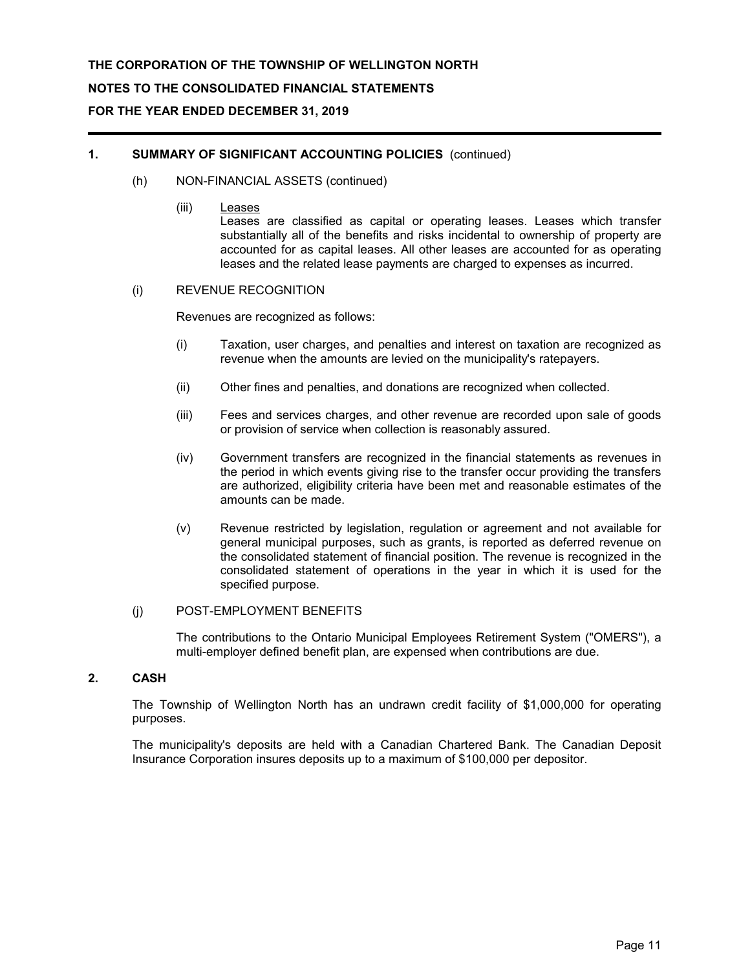### **1. SUMMARY OF SIGNIFICANT ACCOUNTING POLICIES** (continued)

- (h) NON-FINANCIAL ASSETS (continued)
	- (iii) Leases

Leases are classified as capital or operating leases. Leases which transfer substantially all of the benefits and risks incidental to ownership of property are accounted for as capital leases. All other leases are accounted for as operating leases and the related lease payments are charged to expenses as incurred.

## (i) REVENUE RECOGNITION

Revenues are recognized as follows:

- (i) Taxation, user charges, and penalties and interest on taxation are recognized as revenue when the amounts are levied on the municipality's ratepayers.
- (ii) Other fines and penalties, and donations are recognized when collected.
- (iii) Fees and services charges, and other revenue are recorded upon sale of goods or provision of service when collection is reasonably assured.
- (iv) Government transfers are recognized in the financial statements as revenues in the period in which events giving rise to the transfer occur providing the transfers are authorized, eligibility criteria have been met and reasonable estimates of the amounts can be made.
- (v) Revenue restricted by legislation, regulation or agreement and not available for general municipal purposes, such as grants, is reported as deferred revenue on the consolidated statement of financial position. The revenue is recognized in the consolidated statement of operations in the year in which it is used for the specified purpose.

#### (j) POST-EMPLOYMENT BENEFITS

The contributions to the Ontario Municipal Employees Retirement System ("OMERS"), a multi-employer defined benefit plan, are expensed when contributions are due.

#### **2. CASH**

The Township of Wellington North has an undrawn credit facility of \$1,000,000 for operating purposes.

The municipality's deposits are held with a Canadian Chartered Bank. The Canadian Deposit Insurance Corporation insures deposits up to a maximum of \$100,000 per depositor.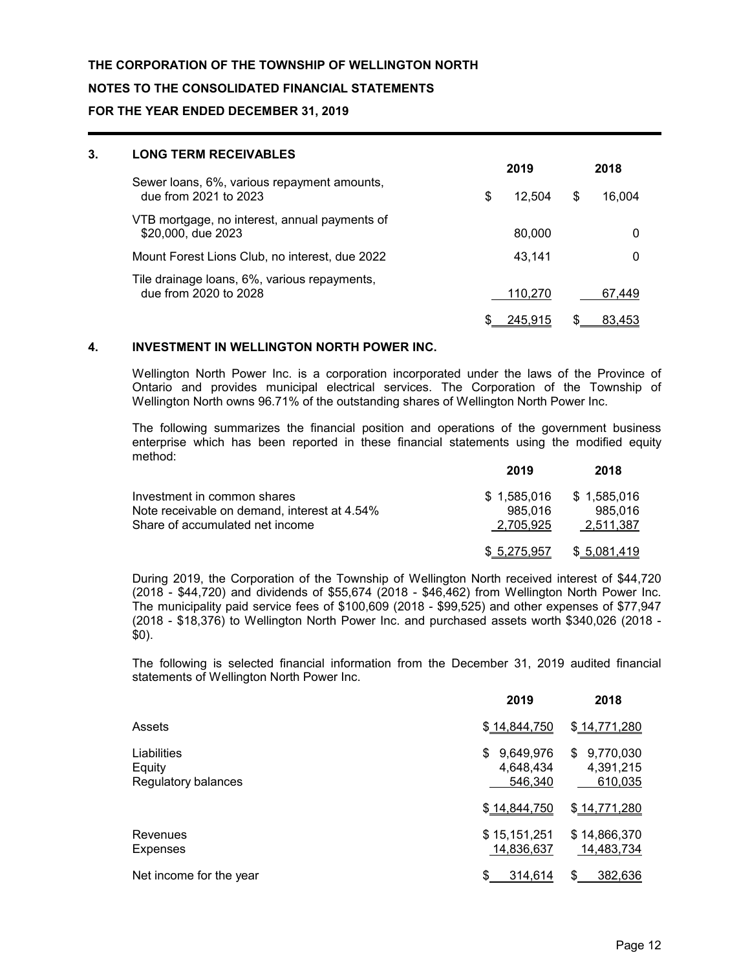### **NOTES TO THE CONSOLIDATED FINANCIAL STATEMENTS**

#### **FOR THE YEAR ENDED DECEMBER 31, 2019**

| 3. | <b>LONG TERM RECEIVABLES</b>                                          |              |              |  |
|----|-----------------------------------------------------------------------|--------------|--------------|--|
|    |                                                                       | 2019         | 2018         |  |
|    | Sewer loans, 6%, various repayment amounts,<br>due from 2021 to 2023  | \$<br>12.504 | \$<br>16,004 |  |
|    | VTB mortgage, no interest, annual payments of<br>\$20,000, due 2023   | 80,000       | 0            |  |
|    | Mount Forest Lions Club, no interest, due 2022                        | 43.141       | 0            |  |
|    | Tile drainage loans, 6%, various repayments,<br>due from 2020 to 2028 | 110,270      | 67,449       |  |
|    |                                                                       | 245.915      | 83.453       |  |

#### **4. INVESTMENT IN WELLINGTON NORTH POWER INC.**

Wellington North Power Inc. is a corporation incorporated under the laws of the Province of Ontario and provides municipal electrical services. The Corporation of the Township of Wellington North owns 96.71% of the outstanding shares of Wellington North Power Inc.

The following summarizes the financial position and operations of the government business enterprise which has been reported in these financial statements using the modified equity method:

|                                              | 2019         | 2018        |
|----------------------------------------------|--------------|-------------|
| Investment in common shares                  | \$1.585.016  | \$1,585,016 |
| Note receivable on demand, interest at 4.54% | 985.016      | 985.016     |
| Share of accumulated net income              | 2.705.925    | 2.511.387   |
|                                              | \$ 5,275,957 | \$5,081,419 |

During 2019, the Corporation of the Township of Wellington North received interest of \$44,720 (2018 - \$44,720) and dividends of \$55,674 (2018 - \$46,462) from Wellington North Power Inc. The municipality paid service fees of \$100,609 (2018 - \$99,525) and other expenses of \$77,947 (2018 - \$18,376) to Wellington North Power Inc. and purchased assets worth \$340,026 (2018 - \$0).

The following is selected financial information from the December 31, 2019 audited financial statements of Wellington North Power Inc.

|                                              | 2019                                    | 2018                                    |
|----------------------------------------------|-----------------------------------------|-----------------------------------------|
| Assets                                       | \$14,844,750                            | \$14,771,280                            |
| Liabilities<br>Equity<br>Regulatory balances | 9,649,976<br>\$<br>4,648,434<br>546,340 | 9,770,030<br>\$<br>4,391,215<br>610,035 |
|                                              | \$14,844,750                            | \$14,771,280                            |
| Revenues<br>Expenses                         | \$15,151,251<br>14,836,637              | \$14,866,370<br>14,483,734              |
| Net income for the year                      | 314,614                                 | \$<br>382,636                           |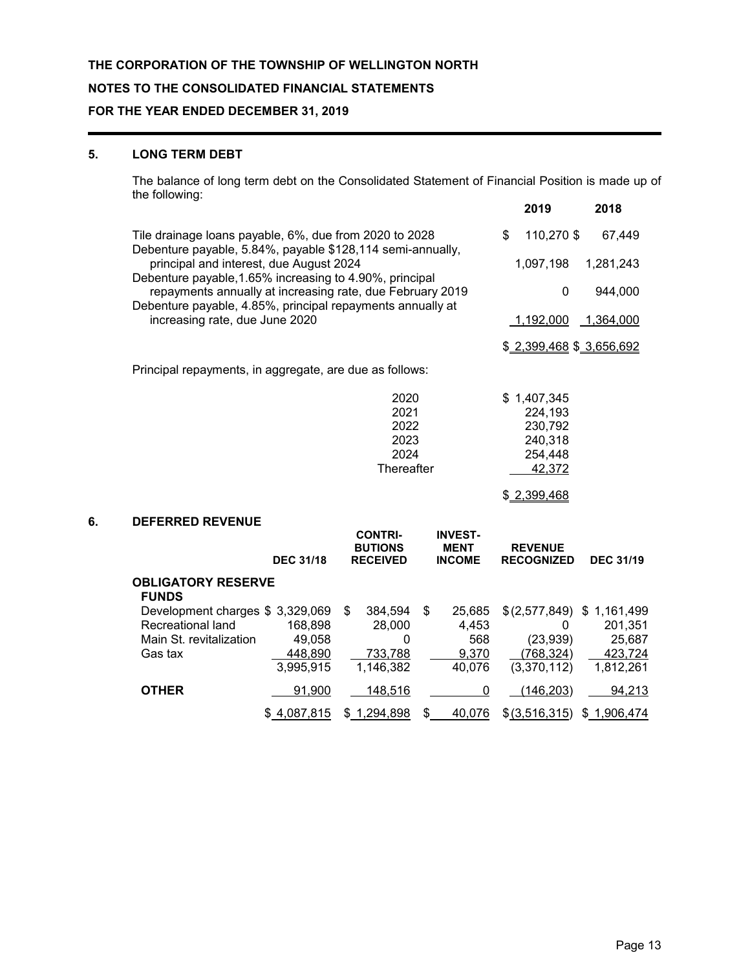#### **5. LONG TERM DEBT**

The balance of long term debt on the Consolidated Statement of Financial Position is made up of the following: **2019 2018**

|    |                                                                                                                            |                  |                                                     |                                                | 20.IA                               | 2010                 |
|----|----------------------------------------------------------------------------------------------------------------------------|------------------|-----------------------------------------------------|------------------------------------------------|-------------------------------------|----------------------|
|    | \$<br>Tile drainage loans payable, 6%, due from 2020 to 2028<br>Debenture payable, 5.84%, payable \$128,114 semi-annually, |                  |                                                     |                                                |                                     | 110,270 \$<br>67,449 |
|    | principal and interest, due August 2024<br>Debenture payable, 1.65% increasing to 4.90%, principal                         | 1,097,198        | 1,281,243                                           |                                                |                                     |                      |
|    | repayments annually at increasing rate, due February 2019<br>Debenture payable, 4.85%, principal repayments annually at    |                  |                                                     |                                                | $\mathbf 0$                         | 944,000              |
|    | increasing rate, due June 2020                                                                                             |                  |                                                     |                                                | 1,192,000                           | 1,364,000            |
|    |                                                                                                                            |                  |                                                     |                                                | \$2,399,468 \$3,656,692             |                      |
|    | Principal repayments, in aggregate, are due as follows:                                                                    |                  |                                                     |                                                |                                     |                      |
|    |                                                                                                                            |                  | 2020<br>2021                                        |                                                | \$1,407,345<br>224,193              |                      |
|    |                                                                                                                            |                  | 2022                                                |                                                | 230,792                             |                      |
|    |                                                                                                                            |                  | 2023                                                |                                                | 240,318                             |                      |
|    |                                                                                                                            |                  | 2024                                                |                                                | 254,448                             |                      |
|    |                                                                                                                            |                  | Thereafter                                          |                                                | 42,372                              |                      |
|    |                                                                                                                            |                  |                                                     |                                                | \$2,399,468                         |                      |
| 6. | <b>DEFERRED REVENUE</b>                                                                                                    |                  |                                                     |                                                |                                     |                      |
|    |                                                                                                                            | <b>DEC 31/18</b> | <b>CONTRI-</b><br><b>BUTIONS</b><br><b>RECEIVED</b> | <b>INVEST-</b><br><b>MENT</b><br><b>INCOME</b> | <b>REVENUE</b><br><b>RECOGNIZED</b> | <b>DEC 31/19</b>     |
|    | <b>OBLIGATORY RESERVE</b><br><b>FUNDS</b>                                                                                  |                  |                                                     |                                                |                                     |                      |
|    | Development charges \$3,329,069                                                                                            |                  | \$<br>384,594                                       | \$<br>25,685                                   | \$(2,577,849)                       | \$1,161,499          |
|    | Recreational land                                                                                                          | 168,898          | 28,000                                              | 4,453                                          | $\Omega$                            | 201,351              |
|    | Main St. revitalization                                                                                                    | 49,058           | 0                                                   | 568                                            | (23, 939)                           | 25,687               |
|    | Gas tax                                                                                                                    | 448,890          | 733,788                                             | 9,370                                          | (768, 324)                          | 423,724              |
|    |                                                                                                                            | 3,995,915        | 1,146,382                                           | 40,076                                         | (3,370,112)                         | 1,812,261            |
|    | <b>OTHER</b>                                                                                                               | 91,900           | 148,516                                             | 0                                              | (146, 203)                          | 94,213               |
|    |                                                                                                                            | \$4,087,815      | \$1,294,898                                         | \$<br>40,076                                   | \$(3,516,315)                       | \$1,906,474          |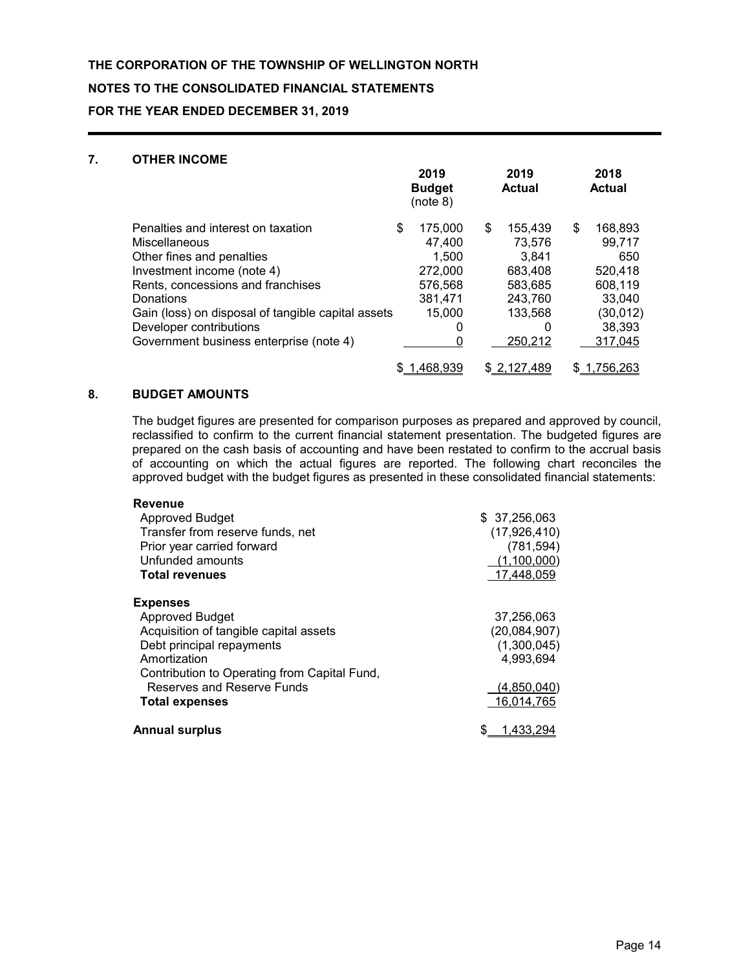#### **NOTES TO THE CONSOLIDATED FINANCIAL STATEMENTS**

**FOR THE YEAR ENDED DECEMBER 31, 2019**

### **7. OTHER INCOME**

|                                                                                                                                                                                                                                                                                              | 2019<br><b>Budget</b><br>(note 8)                                                     | 2019<br>Actual                                                                                      | 2018<br><b>Actual</b>                                                                            |
|----------------------------------------------------------------------------------------------------------------------------------------------------------------------------------------------------------------------------------------------------------------------------------------------|---------------------------------------------------------------------------------------|-----------------------------------------------------------------------------------------------------|--------------------------------------------------------------------------------------------------|
| Penalties and interest on taxation<br>Miscellaneous<br>Other fines and penalties<br>Investment income (note 4)<br>Rents, concessions and franchises<br>Donations<br>Gain (loss) on disposal of tangible capital assets<br>Developer contributions<br>Government business enterprise (note 4) | \$<br>175.000<br>47,400<br>1,500<br>272,000<br>576,568<br>381,471<br>15,000<br>0<br>0 | \$<br>155,439<br>73,576<br>3.841<br>683,408<br>583,685<br>243,760<br>133.568<br>$\Omega$<br>250,212 | \$<br>168,893<br>99,717<br>650<br>520,418<br>608,119<br>33,040<br>(30, 012)<br>38,393<br>317,045 |
|                                                                                                                                                                                                                                                                                              | 1.468.939                                                                             | \$2,127,489                                                                                         | '56,263                                                                                          |

### **8. BUDGET AMOUNTS**

The budget figures are presented for comparison purposes as prepared and approved by council, reclassified to confirm to the current financial statement presentation. The budgeted figures are prepared on the cash basis of accounting and have been restated to confirm to the accrual basis of accounting on which the actual figures are reported. The following chart reconciles the approved budget with the budget figures as presented in these consolidated financial statements:

| <b>Revenue</b>                               |               |
|----------------------------------------------|---------------|
| Approved Budget                              | \$ 37,256,063 |
| Transfer from reserve funds, net             | (17,926,410)  |
| Prior year carried forward                   | (781, 594)    |
| Unfunded amounts                             | (1,100,000)   |
| <b>Total revenues</b>                        | 17,448,059    |
| <b>Expenses</b>                              |               |
| <b>Approved Budget</b>                       | 37,256,063    |
| Acquisition of tangible capital assets       | (20,084,907)  |
| Debt principal repayments                    | (1,300,045)   |
| Amortization                                 | 4,993,694     |
| Contribution to Operating from Capital Fund, |               |
| Reserves and Reserve Funds                   | (4,850,040)   |
| <b>Total expenses</b>                        | 16,014,765    |
| <b>Annual surplus</b>                        | 1.433.294     |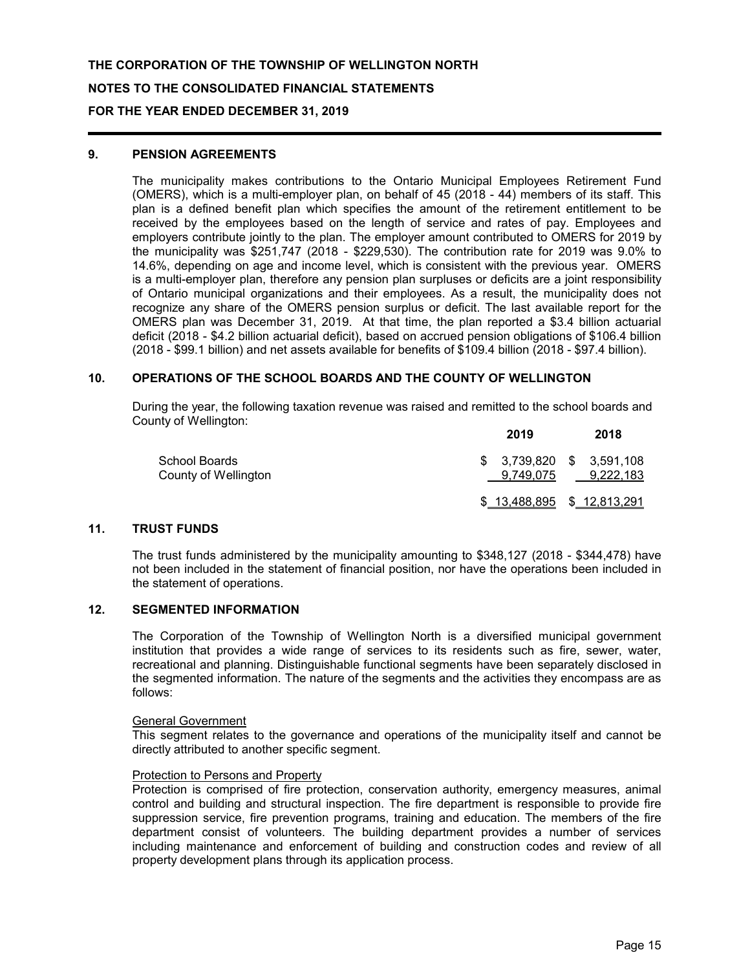#### **9. PENSION AGREEMENTS**

The municipality makes contributions to the Ontario Municipal Employees Retirement Fund (OMERS), which is a multi-employer plan, on behalf of 45 (2018 - 44) members of its staff. This plan is a defined benefit plan which specifies the amount of the retirement entitlement to be received by the employees based on the length of service and rates of pay. Employees and employers contribute jointly to the plan. The employer amount contributed to OMERS for 2019 by the municipality was \$251,747 (2018 - \$229,530). The contribution rate for 2019 was 9.0% to 14.6%, depending on age and income level, which is consistent with the previous year. OMERS is a multi-employer plan, therefore any pension plan surpluses or deficits are a joint responsibility of Ontario municipal organizations and their employees. As a result, the municipality does not recognize any share of the OMERS pension surplus or deficit. The last available report for the OMERS plan was December 31, 2019. At that time, the plan reported a \$3.4 billion actuarial deficit (2018 - \$4.2 billion actuarial deficit), based on accrued pension obligations of \$106.4 billion (2018 - \$99.1 billion) and net assets available for benefits of \$109.4 billion (2018 - \$97.4 billion).

#### **10. OPERATIONS OF THE SCHOOL BOARDS AND THE COUNTY OF WELLINGTON**

During the year, the following taxation revenue was raised and remitted to the school boards and County of Wellington:

|                                       | 2019                                   | 2018      |
|---------------------------------------|----------------------------------------|-----------|
| School Boards<br>County of Wellington | $$3,739,820$ $$3,591,108$<br>9.749.075 | 9.222.183 |
|                                       | \$13,488,895 \$12,813,291              |           |

#### **11. TRUST FUNDS**

The trust funds administered by the municipality amounting to \$348,127 (2018 - \$344,478) have not been included in the statement of financial position, nor have the operations been included in the statement of operations.

#### **12. SEGMENTED INFORMATION**

The Corporation of the Township of Wellington North is a diversified municipal government institution that provides a wide range of services to its residents such as fire, sewer, water, recreational and planning. Distinguishable functional segments have been separately disclosed in the segmented information. The nature of the segments and the activities they encompass are as follows:

#### General Government

This segment relates to the governance and operations of the municipality itself and cannot be directly attributed to another specific segment.

#### Protection to Persons and Property

Protection is comprised of fire protection, conservation authority, emergency measures, animal control and building and structural inspection. The fire department is responsible to provide fire suppression service, fire prevention programs, training and education. The members of the fire department consist of volunteers. The building department provides a number of services including maintenance and enforcement of building and construction codes and review of all property development plans through its application process.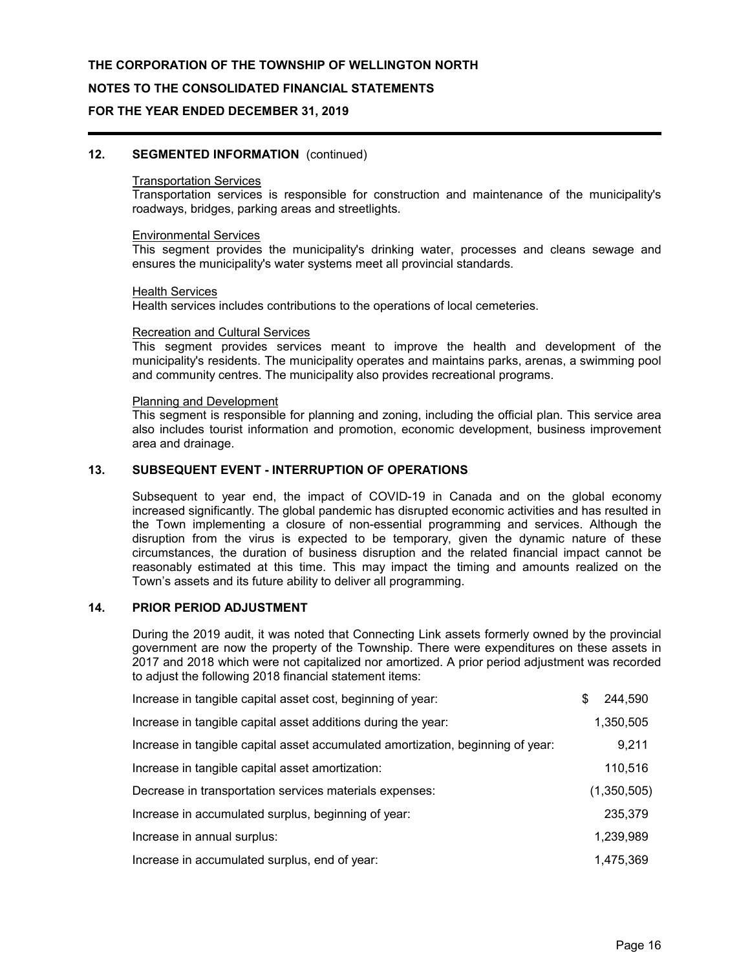#### **NOTES TO THE CONSOLIDATED FINANCIAL STATEMENTS**

#### **FOR THE YEAR ENDED DECEMBER 31, 2019**

#### **12. SEGMENTED INFORMATION** (continued)

#### Transportation Services

Transportation services is responsible for construction and maintenance of the municipality's roadways, bridges, parking areas and streetlights.

#### Environmental Services

This segment provides the municipality's drinking water, processes and cleans sewage and ensures the municipality's water systems meet all provincial standards.

#### Health Services

Health services includes contributions to the operations of local cemeteries.

#### Recreation and Cultural Services

This segment provides services meant to improve the health and development of the municipality's residents. The municipality operates and maintains parks, arenas, a swimming pool and community centres. The municipality also provides recreational programs.

#### Planning and Development

This segment is responsible for planning and zoning, including the official plan. This service area also includes tourist information and promotion, economic development, business improvement area and drainage.

#### **13. SUBSEQUENT EVENT - INTERRUPTION OF OPERATIONS**

Subsequent to year end, the impact of COVID-19 in Canada and on the global economy increased significantly. The global pandemic has disrupted economic activities and has resulted in the Town implementing a closure of non-essential programming and services. Although the disruption from the virus is expected to be temporary, given the dynamic nature of these circumstances, the duration of business disruption and the related financial impact cannot be reasonably estimated at this time. This may impact the timing and amounts realized on the Town's assets and its future ability to deliver all programming.

#### **14. PRIOR PERIOD ADJUSTMENT**

During the 2019 audit, it was noted that Connecting Link assets formerly owned by the provincial government are now the property of the Township. There were expenditures on these assets in 2017 and 2018 which were not capitalized nor amortized. A prior period adjustment was recorded to adjust the following 2018 financial statement items:

| Increase in tangible capital asset cost, beginning of year:                     | \$<br>244,590 |
|---------------------------------------------------------------------------------|---------------|
| Increase in tangible capital asset additions during the year:                   | 1,350,505     |
| Increase in tangible capital asset accumulated amortization, beginning of year: | 9,211         |
| Increase in tangible capital asset amortization:                                | 110,516       |
| Decrease in transportation services materials expenses:                         | (1,350,505)   |
| Increase in accumulated surplus, beginning of year:                             | 235,379       |
| Increase in annual surplus:                                                     | 1,239,989     |
| Increase in accumulated surplus, end of year:                                   | 1.475.369     |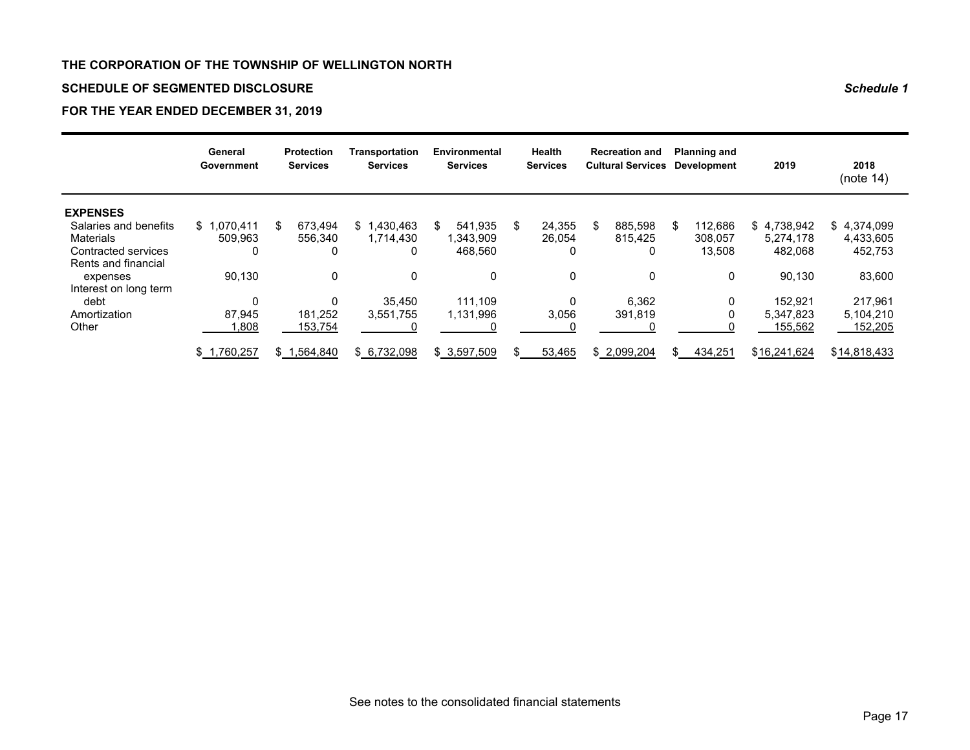### **SCHEDULE OF SEGMENTED DISCLOSURE** *Schedule 1*

## **FOR THE YEAR ENDED DECEMBER 31, 2019**

|                       | General<br>Government | <b>Protection</b><br><b>Services</b> | <b>Transportation</b><br><b>Services</b> | Environmental<br><b>Services</b> |     | Health<br><b>Services</b> |     | <b>Recreation and</b><br><b>Cultural Services</b> |               | <b>Planning and</b><br><b>Development</b> | 2019         | 2018<br>(note 14) |
|-----------------------|-----------------------|--------------------------------------|------------------------------------------|----------------------------------|-----|---------------------------|-----|---------------------------------------------------|---------------|-------------------------------------------|--------------|-------------------|
| <b>EXPENSES</b>       |                       |                                      |                                          |                                  |     |                           |     |                                                   |               |                                           |              |                   |
| Salaries and benefits | \$1.070.411           | 673.494<br>\$                        | $$^{\circ}$ 1<br>1,430,463               | 541.935<br>\$                    | \$  | 24,355                    | -\$ | 885.598                                           | \$            | 112.686                                   | \$4,738,942  | \$4,374,099       |
| Materials             | 509.963               | 556,340                              | 1,714,430                                | 1,343,909                        |     | 26,054                    |     | 815,425                                           |               | 308,057                                   | 5,274,178    | 4,433,605         |
| Contracted services   | 0                     | 0                                    | 0                                        | 468,560                          |     | 0                         |     | 0                                                 |               | 13,508                                    | 482.068      | 452,753           |
| Rents and financial   |                       |                                      |                                          |                                  |     |                           |     |                                                   |               |                                           |              |                   |
| expenses              | 90.130                | 0                                    | 0                                        | 0                                |     | 0                         |     | 0                                                 |               | 0                                         | 90,130       | 83,600            |
| Interest on long term |                       |                                      |                                          |                                  |     |                           |     |                                                   |               |                                           |              |                   |
| debt                  | 0                     | 0                                    | 35.450                                   | 111.109                          |     | 0                         |     | 6,362                                             |               | 0                                         | 152.921      | 217,961           |
| Amortization          | 87.945                | 181.252                              | 3,551,755                                | 1,131,996                        |     | 3,056                     |     | 391,819                                           |               |                                           | 5,347,823    | 5,104,210         |
| Other                 | .808                  | 153,754                              |                                          |                                  |     |                           |     |                                                   |               |                                           | 155,562      | 152,205           |
|                       | \$1,760,257           | \$1,564,840                          | \$6,732,098                              | \$3,597,509                      | \$. | 53,465                    |     | \$ 2.099.204                                      | $\mathcal{S}$ | 434,251                                   | \$16,241,624 | \$14,818,433      |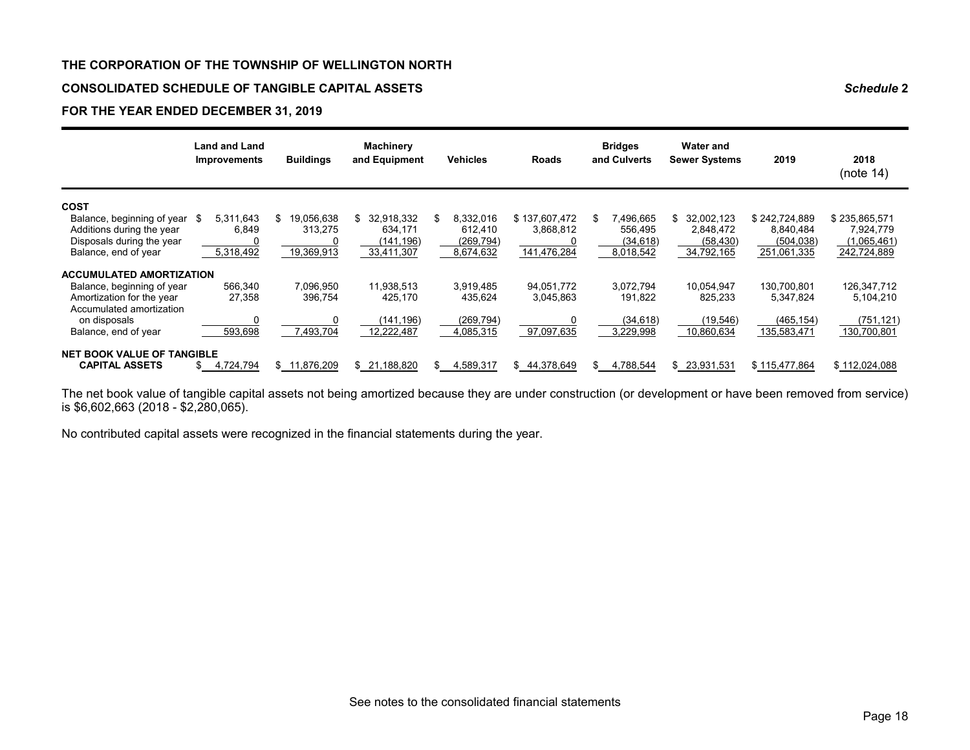#### **CONSOLIDATED SCHEDULE OF TANGIBLE CAPITAL ASSETS** *Schedule* **2**

#### **FOR THE YEAR ENDED DECEMBER 31, 2019**

|                                   | <b>Land and Land</b><br><b>Improvements</b> | <b>Buildings</b> | <b>Machinery</b><br>and Equipment | Vehicles         | Roads         | <b>Bridges</b><br>and Culverts | <b>Water and</b><br><b>Sewer Systems</b> | 2019          | 2018<br>(note 14) |
|-----------------------------------|---------------------------------------------|------------------|-----------------------------------|------------------|---------------|--------------------------------|------------------------------------------|---------------|-------------------|
| <b>COST</b>                       |                                             |                  |                                   |                  |               |                                |                                          |               |                   |
| Balance, beginning of year        | 5,311,643<br>\$                             | 19.056.638<br>\$ | \$<br>32,918,332                  | 8,332,016<br>\$  | \$137,607,472 | \$<br>496,665"                 | 32,002,123<br>\$                         | \$242,724,889 | \$235,865,571     |
| Additions during the year         | 6.849                                       | 313.275          | 634.171                           | 612.410          | 3.868.812     | 556,495                        | 2.848.472                                | 8.840.484     | 7.924.779         |
| Disposals during the year         |                                             | 0                | (141,196)                         | (269,794)        |               | (34, 618)                      | (58, 430)                                | (504, 038)    | (1,065,461)       |
| Balance, end of year              | 5,318,492                                   | 19,369,913       | 33,411,307                        | 8,674,632        | 141,476,284   | 8,018,542                      | 34,792,165                               | 251,061,335   | 242,724,889       |
| <b>ACCUMULATED AMORTIZATION</b>   |                                             |                  |                                   |                  |               |                                |                                          |               |                   |
| Balance, beginning of year        | 566,340                                     | 7,096,950        | 11,938,513                        | 3,919,485        | 94,051,772    | 3,072,794                      | 10,054,947                               | 130,700,801   | 126,347,712       |
| Amortization for the year         | 27,358                                      | 396,754          | 425,170                           | 435,624          | 3,045,863     | 191,822                        | 825,233                                  | 5,347,824     | 5,104,210         |
| Accumulated amortization          |                                             |                  |                                   |                  |               |                                |                                          |               |                   |
| on disposals                      |                                             | 0                | (141,196)                         | (269, 794)       |               | (34, 618)                      | (19, 546)                                | (465, 154)    | (751, 121)        |
| Balance, end of year              | 593,698                                     | 7,493,704        | 12,222,487                        | 4,085,315        | 97,097,635    | 3,229,998                      | 10,860,634                               | 135,583,471   | 130,700,801       |
| <b>NET BOOK VALUE OF TANGIBLE</b> |                                             |                  |                                   |                  |               |                                |                                          |               |                   |
| <b>CAPITAL ASSETS</b>             | 4,724,794                                   | \$11,876,209     | \$ 21,188,820                     | 4,589,317<br>\$. | \$44,378,649  | 4,788,544<br>\$.               | \$23,931,531                             | \$115,477,864 | \$112,024,088     |

The net book value of tangible capital assets not being amortized because they are under construction (or development or have been removed from service) is \$6,602,663 (2018 - \$2,280,065).

No contributed capital assets were recognized in the financial statements during the year.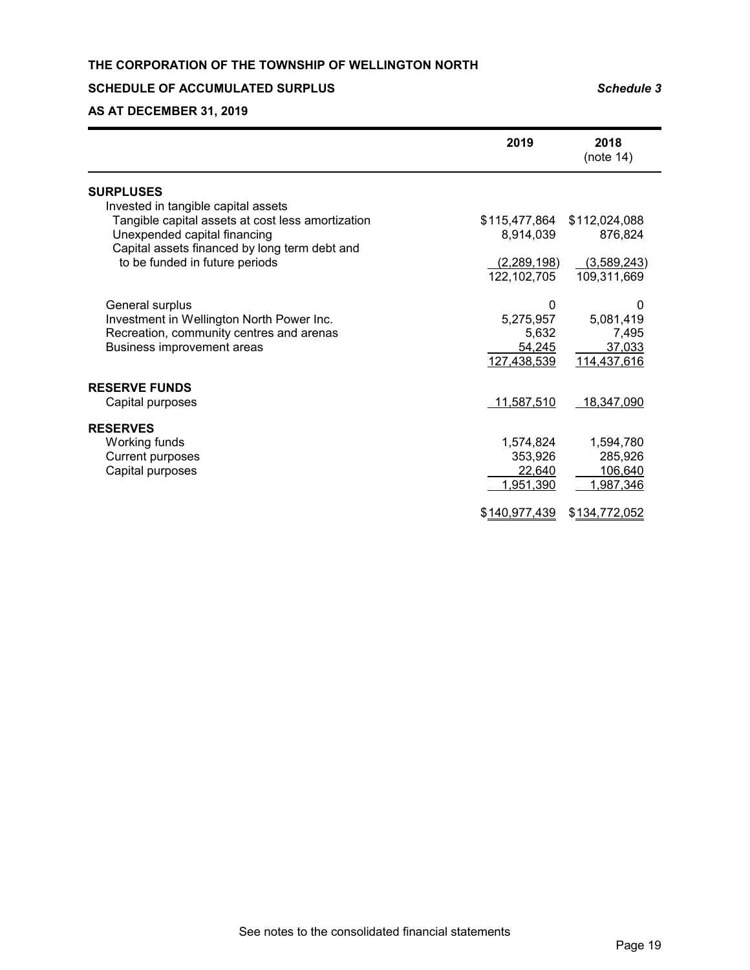#### **SCHEDULE OF ACCUMULATED SURPLUS** *Schedule 3*

**AS AT DECEMBER 31, 2019**

|                                                   | 2019          | 2018<br>(note 14) |
|---------------------------------------------------|---------------|-------------------|
| <b>SURPLUSES</b>                                  |               |                   |
| Invested in tangible capital assets               |               |                   |
| Tangible capital assets at cost less amortization | \$115,477,864 | \$112,024,088     |
| Unexpended capital financing                      | 8,914,039     | 876,824           |
| Capital assets financed by long term debt and     |               |                   |
| to be funded in future periods                    | (2,289,198)   | (3,589,243)       |
|                                                   | 122,102,705   | 109,311,669       |
|                                                   |               |                   |
| General surplus                                   | 0             | 0                 |
| Investment in Wellington North Power Inc.         | 5,275,957     | 5,081,419         |
| Recreation, community centres and arenas          | 5,632         | 7,495             |
| Business improvement areas                        | 54,245        | 37,033            |
|                                                   | 127,438,539   | 114,437,616       |
| <b>RESERVE FUNDS</b>                              |               |                   |
| Capital purposes                                  | 11,587,510    | 18,347,090        |
|                                                   |               |                   |
| <b>RESERVES</b>                                   |               |                   |
| Working funds                                     | 1,574,824     | 1,594,780         |
| <b>Current purposes</b>                           | 353,926       | 285,926           |
| Capital purposes                                  | 22,640        | 106,640           |
|                                                   | 1,951,390     | 1,987,346         |
|                                                   | \$140,977,439 | \$134,772,052     |
|                                                   |               |                   |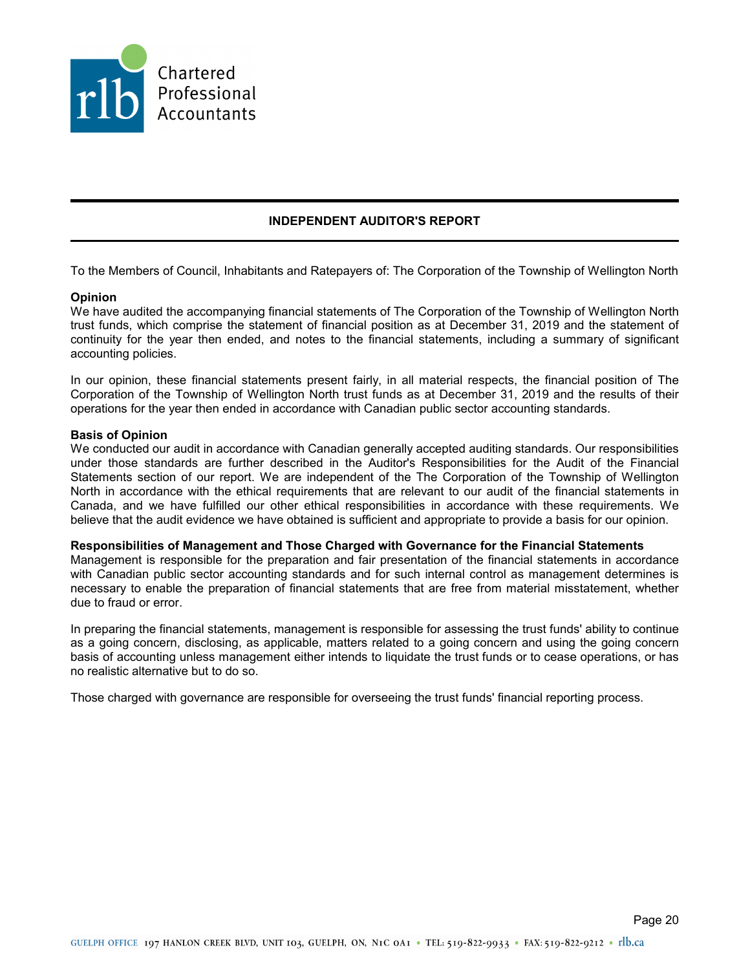

## **INDEPENDENT AUDITOR'S REPORT**

To the Members of Council, Inhabitants and Ratepayers of: The Corporation of the Township of Wellington North

#### **Opinion**

We have audited the accompanying financial statements of The Corporation of the Township of Wellington North trust funds, which comprise the statement of financial position as at December 31, 2019 and the statement of continuity for the year then ended, and notes to the financial statements, including a summary of significant accounting policies.

In our opinion, these financial statements present fairly, in all material respects, the financial position of The Corporation of the Township of Wellington North trust funds as at December 31, 2019 and the results of their operations for the year then ended in accordance with Canadian public sector accounting standards.

#### **Basis of Opinion**

We conducted our audit in accordance with Canadian generally accepted auditing standards. Our responsibilities under those standards are further described in the Auditor's Responsibilities for the Audit of the Financial Statements section of our report. We are independent of the The Corporation of the Township of Wellington North in accordance with the ethical requirements that are relevant to our audit of the financial statements in Canada, and we have fulfilled our other ethical responsibilities in accordance with these requirements. We believe that the audit evidence we have obtained is sufficient and appropriate to provide a basis for our opinion.

#### **Responsibilities of Management and Those Charged with Governance for the Financial Statements**

Management is responsible for the preparation and fair presentation of the financial statements in accordance with Canadian public sector accounting standards and for such internal control as management determines is necessary to enable the preparation of financial statements that are free from material misstatement, whether due to fraud or error.

In preparing the financial statements, management is responsible for assessing the trust funds' ability to continue as a going concern, disclosing, as applicable, matters related to a going concern and using the going concern basis of accounting unless management either intends to liquidate the trust funds or to cease operations, or has no realistic alternative but to do so.

Those charged with governance are responsible for overseeing the trust funds' financial reporting process.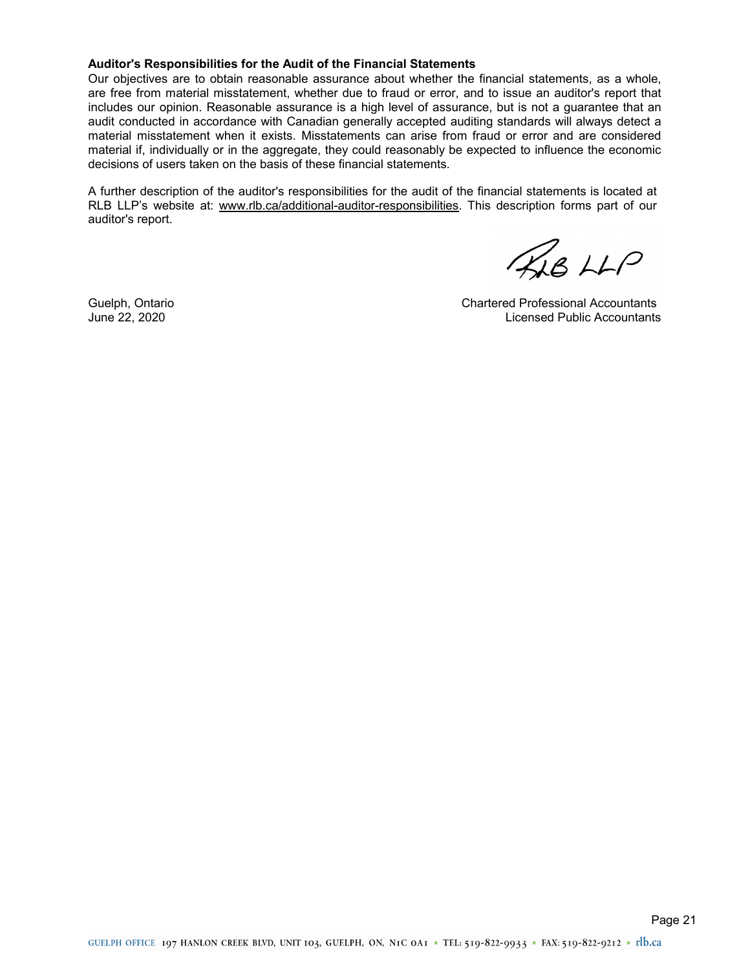#### **Auditor's Responsibilities for the Audit of the Financial Statements**

Our objectives are to obtain reasonable assurance about whether the financial statements, as a whole, are free from material misstatement, whether due to fraud or error, and to issue an auditor's report that includes our opinion. Reasonable assurance is a high level of assurance, but is not a guarantee that an audit conducted in accordance with Canadian generally accepted auditing standards will always detect a material misstatement when it exists. Misstatements can arise from fraud or error and are considered material if, individually or in the aggregate, they could reasonably be expected to influence the economic decisions of users taken on the basis of these financial statements.

A further description of the auditor's responsibilities for the audit of the financial statements is located at RLB LLP's website at: www.rlb.ca/additional-auditor-responsibilities. This description forms part of our auditor's report.

FAB LLP

Guelph, Ontario Chartered Professional Accountants June 22, 2020 Licensed Public Accountants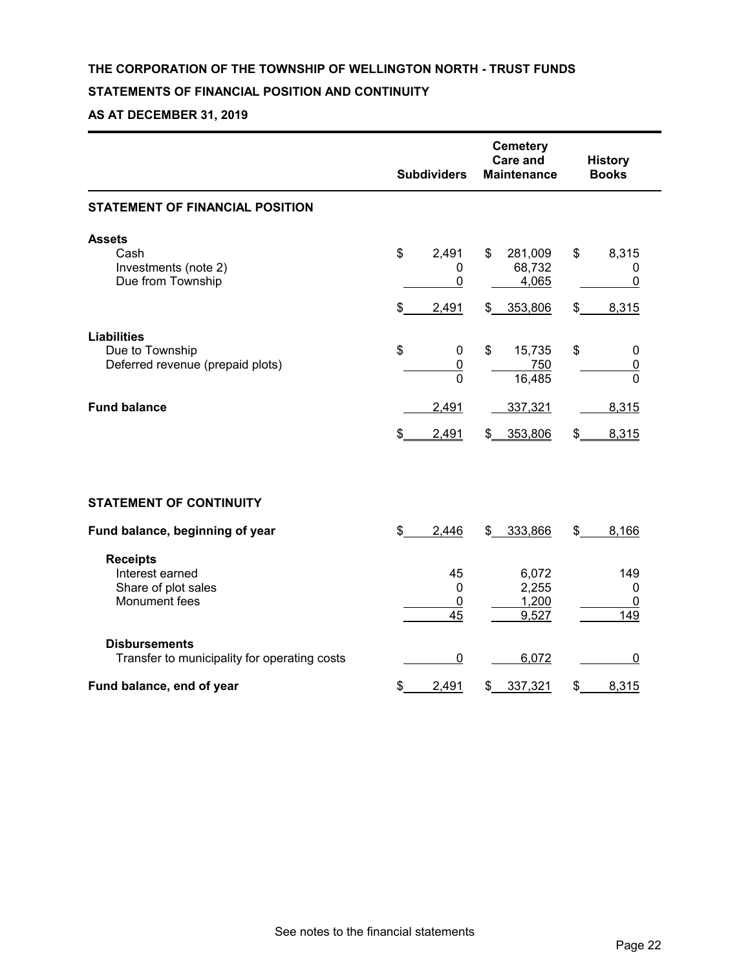## **THE CORPORATION OF THE TOWNSHIP OF WELLINGTON NORTH - TRUST FUNDS**

## **STATEMENTS OF FINANCIAL POSITION AND CONTINUITY**

## **AS AT DECEMBER 31, 2019**

|                                                                           | <b>Subdividers</b>                       | <b>Cemetery</b><br><b>Care and</b><br><b>Maintenance</b> | <b>History</b><br><b>Books</b> |  |
|---------------------------------------------------------------------------|------------------------------------------|----------------------------------------------------------|--------------------------------|--|
| <b>STATEMENT OF FINANCIAL POSITION</b>                                    |                                          |                                                          |                                |  |
| <b>Assets</b>                                                             | \$                                       | \$                                                       | \$                             |  |
| Cash                                                                      | 2,491                                    | 281,009                                                  | 8,315                          |  |
| Investments (note 2)                                                      | 0                                        | 68,732                                                   | 0                              |  |
| Due from Township                                                         | 0                                        | 4,065                                                    | 0                              |  |
|                                                                           | \$                                       | 353,806                                                  | $\frac{2}{2}$                  |  |
|                                                                           | 2,491                                    | \$                                                       | 8,315                          |  |
| <b>Liabilities</b><br>Due to Township<br>Deferred revenue (prepaid plots) | \$<br>0<br>$\overline{0}$<br>$\mathbf 0$ | \$<br>15,735<br>750<br>16,485                            | \$<br>0<br>$\overline{0}$<br>0 |  |
| <b>Fund balance</b>                                                       | 2,491                                    | 337,321                                                  | 8,315                          |  |
|                                                                           | \$                                       | 353,806                                                  | 8,315                          |  |
|                                                                           | 2,491                                    | $\frac{2}{2}$                                            | \$                             |  |
| <b>STATEMENT OF CONTINUITY</b>                                            |                                          |                                                          |                                |  |
| Fund balance, beginning of year                                           | \$                                       | 333,866                                                  | \$                             |  |
|                                                                           | 2,446                                    | \$                                                       | 8,166                          |  |
| <b>Receipts</b>                                                           | 45                                       | 6,072                                                    | 149                            |  |
| Interest earned                                                           | $\mathbf 0$                              | 2,255                                                    | 0                              |  |
| Share of plot sales                                                       | 0                                        | 1,200                                                    | 0                              |  |
| Monument fees                                                             | 45                                       | 9,527                                                    | 149                            |  |
| <b>Disbursements</b><br>Transfer to municipality for operating costs      | 0                                        | 6,072                                                    | 0                              |  |
| Fund balance, end of year                                                 | \$                                       | \$                                                       | \$                             |  |
|                                                                           | 2,491                                    | 337,321                                                  | 8,315                          |  |